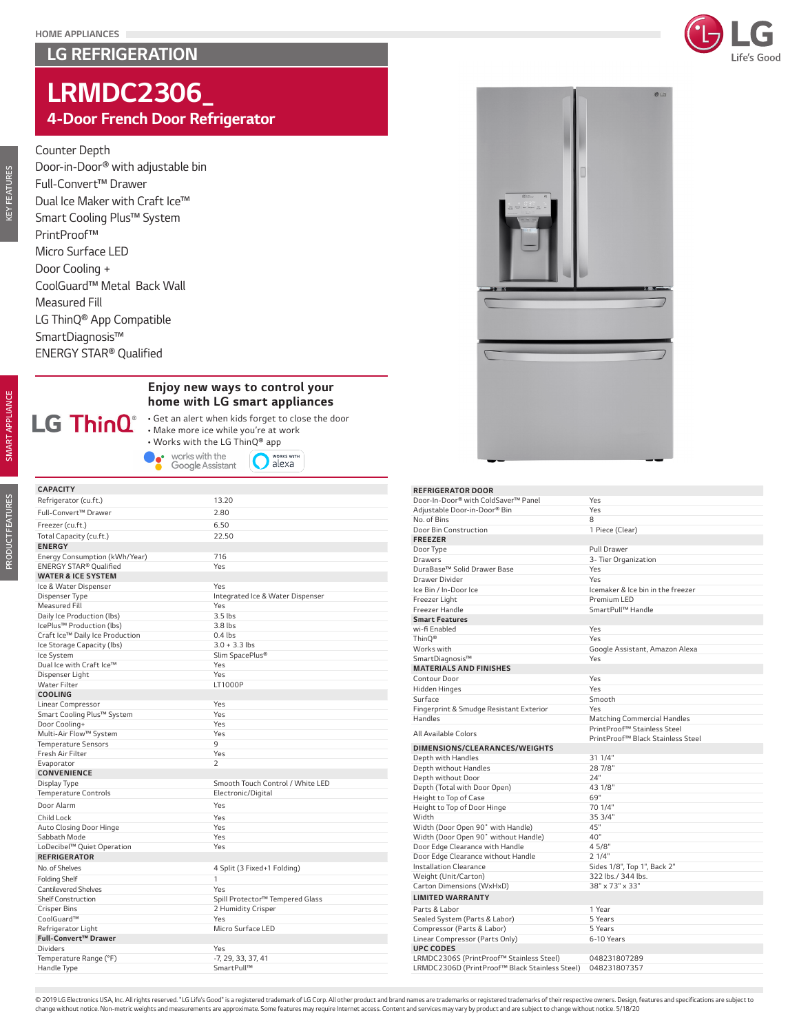# *LG REFRIGERATION*



# *LRMDC2306\_*

# *4-Door French Door Refrigerator*

### *Counter Depth*

*Door-in-Door® with adjustable bin Full-Convert™ Drawer Dual Ice Maker with Craft Ice™ Smart Cooling Plus™ System PrintProof™ Micro Surface LED Door Cooling + CoolGuard™ Metal Back Wall Measured Fill LG ThinQ® App Compatible SmartDiagnosis™ ENERGY STAR® Qualified*

*PRODUCT FEATURES*

PRODUCT FEATURES

*KEY FEATURES*

**KEY FEATURES** 

## *Enjoy new ways to control your home with LG smart appliances*

*• Get an alert when kids forget to close the door • Make more ice while you're at work*

**O** NORKS WITH

• Works with the LG ThinQ® app<br> **•** works with the Google Assistant **C** ale

| <b>CAPACITY</b>                                |                                  |
|------------------------------------------------|----------------------------------|
| Refrigerator (cu.ft.)                          | 13.20                            |
| Full-Convert™ Drawer                           | 2.80                             |
| Freezer (cu.ft.)                               | 6.50                             |
| Total Capacity (cu.ft.)                        | 22.50                            |
| <b>ENERGY</b>                                  |                                  |
| Energy Consumption (kWh/Year)                  | 716                              |
| ENERGY STAR® Qualified                         | Yes                              |
| <b>WATER &amp; ICE SYSTEM</b>                  |                                  |
| Ice & Water Dispenser                          | Yes                              |
| Dispenser Type                                 | Integrated Ice & Water Dispenser |
| <b>Measured Fill</b>                           | Yes                              |
| Daily Ice Production (Ibs)                     | $3.5$ lbs                        |
| IcePlus™ Production (lbs)                      | 3.8 lbs                          |
| Craft Ice™ Daily Ice Production                | $0.4$ lbs                        |
| Ice Storage Capacity (lbs)                     | $3.0 + 3.3$ lbs                  |
| Ice System                                     | Slim SpacePlus®                  |
| Dual Ice with Craft Ice™                       | Yes                              |
| Dispenser Light                                | Yes                              |
| <b>Water Filter</b>                            | LT1000P                          |
| <b>COOLING</b>                                 |                                  |
| Linear Compressor                              | Yes                              |
| Smart Cooling Plus™ System                     | Yes                              |
| Door Cooling+                                  | Yes                              |
| Multi-Air Flow™ System                         | Yes<br>9                         |
| <b>Temperature Sensors</b><br>Fresh Air Filter | Yes                              |
|                                                | $\overline{2}$                   |
| Evaporator<br><b>CONVENIENCE</b>               |                                  |
| Display Type                                   | Smooth Touch Control / White LED |
| <b>Temperature Controls</b>                    | Electronic/Digital               |
| Door Alarm                                     | Yes                              |
| Child Lock                                     | Yes                              |
|                                                | Yes                              |
| Auto Closing Door Hinge<br>Sabbath Mode        | Yes                              |
| LoDecibel™ Quiet Operation                     | Yes                              |
| <b>REFRIGERATOR</b>                            |                                  |
| No. of Shelves                                 | 4 Split (3 Fixed+1 Folding)      |
| <b>Folding Shelf</b>                           | $\mathbf{1}$                     |
| <b>Cantilevered Shelves</b>                    | Yes                              |
| <b>Shelf Construction</b>                      | Spill Protector™ Tempered Glass  |
| <b>Crisper Bins</b>                            | 2 Humidity Crisper               |
| CoolGuard™                                     | Yes                              |
| Refrigerator Light                             | Micro Surface LED                |
| Full-Convert™ Drawer                           |                                  |
| <b>Dividers</b>                                | Yes                              |
| Temperature Range (°F)                         | -7, 29, 33, 37, 41               |
| Handle Type                                    | SmartPull™                       |
|                                                |                                  |



#### *REFRIGERATOR DOOR*

| Door-In-Door® with ColdSaver™ Panel                          | Yes                                |
|--------------------------------------------------------------|------------------------------------|
| Adjustable Door-in-Door® Bin                                 | Yes                                |
| No. of Bins                                                  | 8                                  |
| Door Bin Construction                                        | 1 Piece (Clear)                    |
| <b>FREEZER</b>                                               |                                    |
| Door Type                                                    | Pull Drawer                        |
| Drawers                                                      | 3- Tier Organization               |
| DuraBase™ Solid Drawer Base                                  | Yes                                |
| Drawer Divider                                               | Yes                                |
| Ice Bin / In-Door Ice                                        | Icemaker & Ice bin in the freezer  |
| Freezer Light                                                | Premium LED                        |
| Freezer Handle                                               | SmartPull™ Handle                  |
| <b>Smart Features</b>                                        |                                    |
| wi-fi Enabled                                                | Yes                                |
| ThinO®                                                       | Yes                                |
| Works with                                                   | Google Assistant, Amazon Alexa     |
| SmartDiagnosis™                                              | Yes                                |
| <b>MATERIALS AND FINISHES</b>                                |                                    |
| Contour Door                                                 | Yes                                |
| Hidden Hinges                                                | Yes                                |
| Surface                                                      | Smooth                             |
| Fingerprint & Smudge Resistant Exterior                      | Yes                                |
| Handles                                                      | <b>Matching Commercial Handles</b> |
|                                                              | PrintProof™ Stainless Steel        |
|                                                              |                                    |
| All Available Colors                                         | PrintProof™ Black Stainless Steel  |
| DIMENSIONS/CLEARANCES/WEIGHTS                                |                                    |
| Depth with Handles                                           | 31 1/4"                            |
| Depth without Handles                                        | 28 7/8"                            |
| Depth without Door                                           | 24"                                |
| Depth (Total with Door Open)                                 | 43 1/8"                            |
| Height to Top of Case                                        | 69"                                |
| Height to Top of Door Hinge                                  | 70 1/4"                            |
| Width                                                        | 35 3/4"                            |
| Width (Door Open 90° with Handle)                            | 45"                                |
| Width (Door Open 90° without Handle)                         | 40"                                |
| Door Edge Clearance with Handle                              | 4 5/8"                             |
| Door Edge Clearance without Handle                           | 2 1/4"                             |
| <b>Installation Clearance</b>                                | Sides 1/8", Top 1", Back 2"        |
| Weight (Unit/Carton)                                         | 322 lbs./ 344 lbs.                 |
| Carton Dimensions (WxHxD)                                    | 38" x 73" x 33"                    |
| <b>LIMITED WARRANTY</b>                                      |                                    |
| Parts & Labor                                                | 1 Year                             |
| Sealed System (Parts & Labor)                                | 5 Years                            |
|                                                              | 5 Years                            |
| Compressor (Parts & Labor)<br>Linear Compressor (Parts Only) | 6-10 Years                         |
| <b>UPC CODES</b>                                             |                                    |
| LRMDC2306S (PrintProof™ Stainless Steel)                     | 048231807289                       |

© 2019 LG Electronics USA, Inc. All rights reserved. "LG Life's Good" is a registered trademark of LG Corp. All other product and brand names are trademarks or registered trademarks of their respective owners. Design, feat